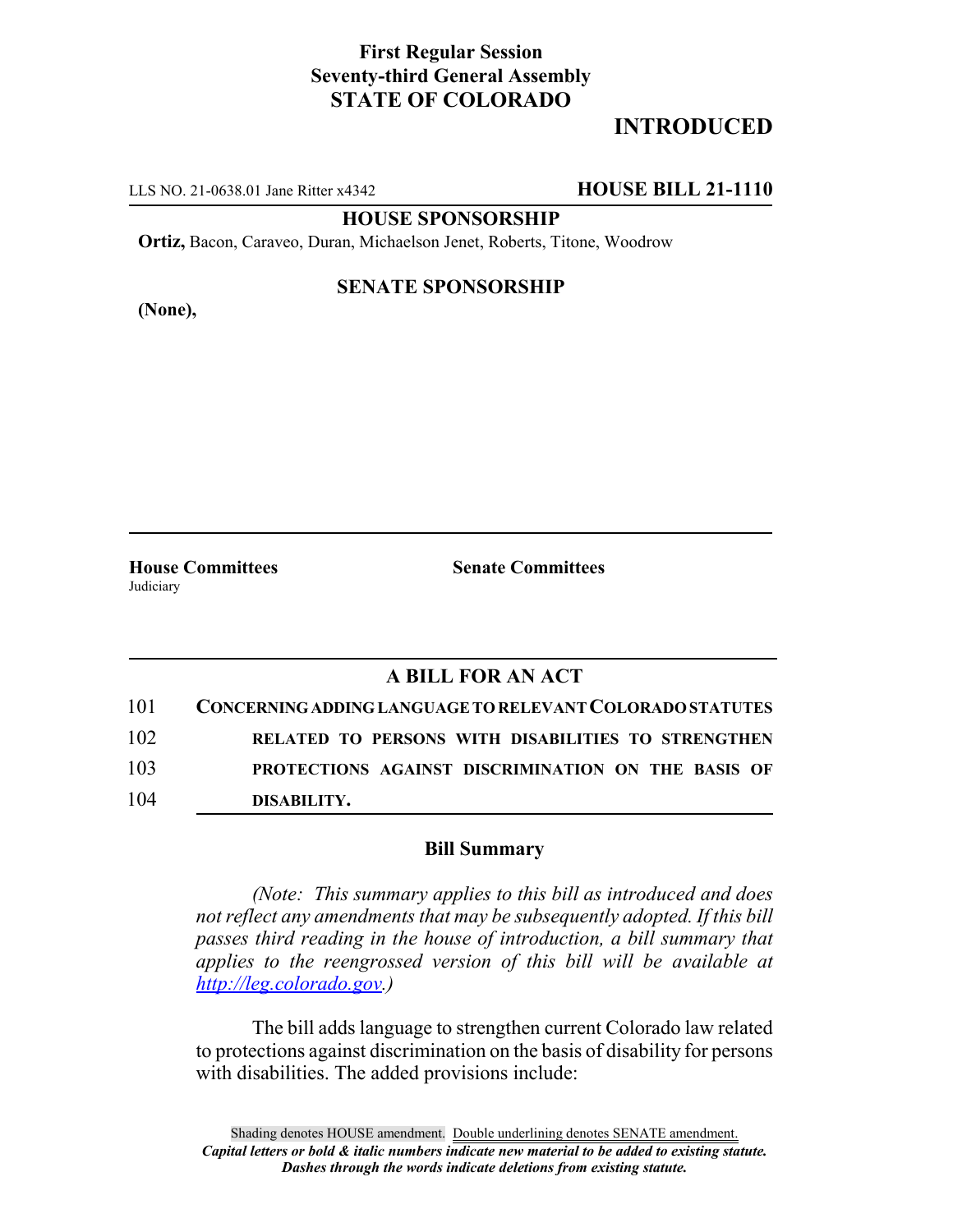# **First Regular Session Seventy-third General Assembly STATE OF COLORADO**

# **INTRODUCED**

LLS NO. 21-0638.01 Jane Ritter x4342 **HOUSE BILL 21-1110**

**HOUSE SPONSORSHIP**

**Ortiz,** Bacon, Caraveo, Duran, Michaelson Jenet, Roberts, Titone, Woodrow

**(None),**

### **SENATE SPONSORSHIP**

**House Committees Senate Committees** Judiciary

## **A BILL FOR AN ACT**

| 101 | CONCERNING ADDING LANGUAGE TO RELEVANT COLORADO STATUTES |
|-----|----------------------------------------------------------|
| 102 | RELATED TO PERSONS WITH DISABILITIES TO STRENGTHEN       |
| 103 | PROTECTIONS AGAINST DISCRIMINATION ON THE BASIS OF       |
| 104 | DISABILITY.                                              |

#### **Bill Summary**

*(Note: This summary applies to this bill as introduced and does not reflect any amendments that may be subsequently adopted. If this bill passes third reading in the house of introduction, a bill summary that applies to the reengrossed version of this bill will be available at http://leg.colorado.gov.)*

The bill adds language to strengthen current Colorado law related to protections against discrimination on the basis of disability for persons with disabilities. The added provisions include: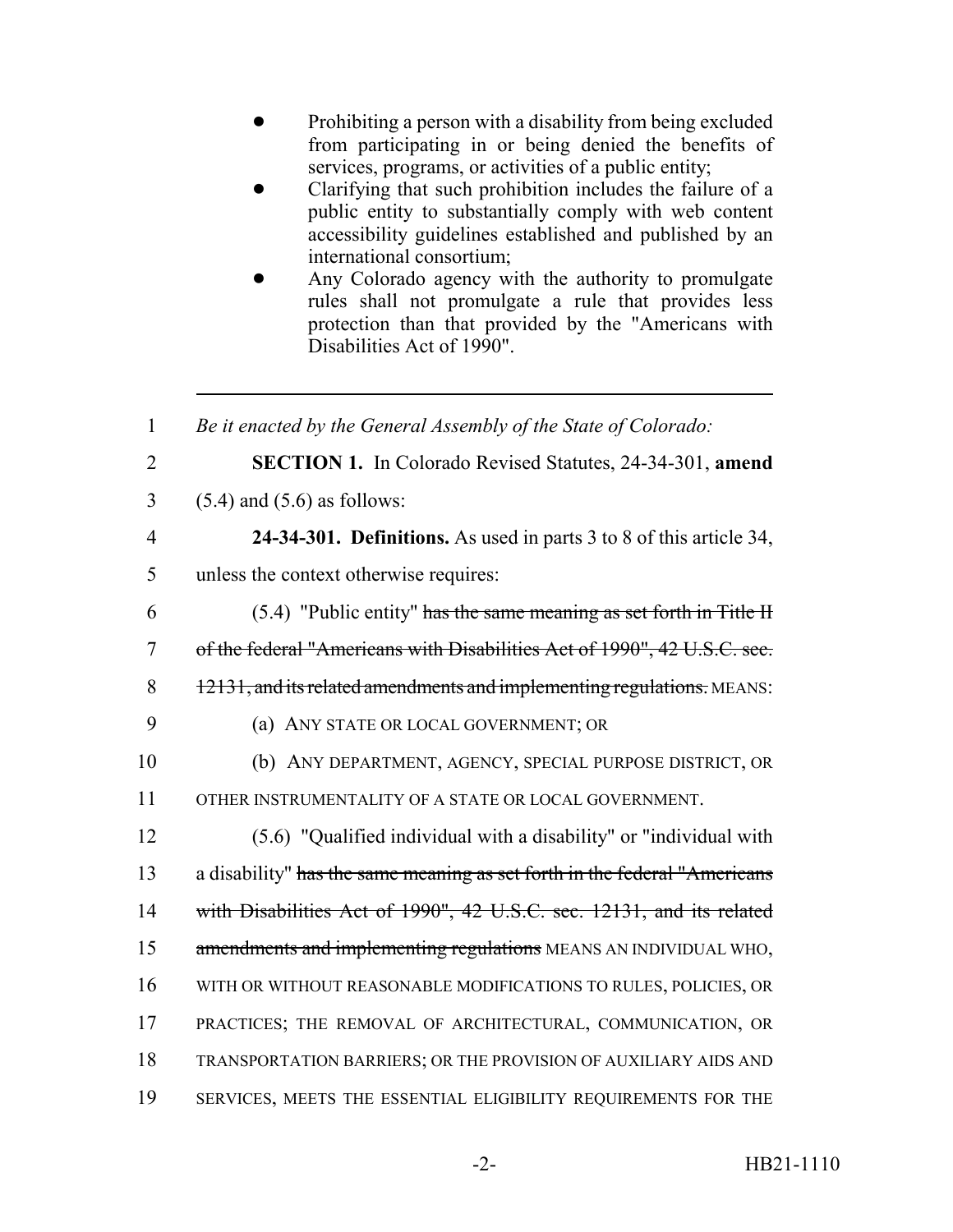- ! Prohibiting a person with a disability from being excluded from participating in or being denied the benefits of services, programs, or activities of a public entity;
- Clarifying that such prohibition includes the failure of a public entity to substantially comply with web content accessibility guidelines established and published by an international consortium;
- Any Colorado agency with the authority to promulgate rules shall not promulgate a rule that provides less protection than that provided by the "Americans with Disabilities Act of 1990".

| $\mathbf{1}$   | Be it enacted by the General Assembly of the State of Colorado:           |
|----------------|---------------------------------------------------------------------------|
| $\overline{2}$ | <b>SECTION 1.</b> In Colorado Revised Statutes, 24-34-301, amend          |
| 3              | $(5.4)$ and $(5.6)$ as follows:                                           |
| $\overline{4}$ | 24-34-301. Definitions. As used in parts 3 to 8 of this article 34,       |
| 5              | unless the context otherwise requires:                                    |
| 6              | $(5.4)$ "Public entity" has the same meaning as set forth in Title H      |
| $\overline{7}$ | of the federal "Americans with Disabilities Act of 1990", 42 U.S.C. sec.  |
| 8              | 12131, and its related amendments and implementing regulations. MEANS:    |
| 9              | (a) ANY STATE OR LOCAL GOVERNMENT; OR                                     |
| 10             | (b) ANY DEPARTMENT, AGENCY, SPECIAL PURPOSE DISTRICT, OR                  |
| 11             | OTHER INSTRUMENTALITY OF A STATE OR LOCAL GOVERNMENT.                     |
| 12             | (5.6) "Qualified individual with a disability" or "individual with        |
| 13             | a disability" has the same meaning as set forth in the federal "Americans |
| 14             | with Disabilities Act of 1990", 42 U.S.C. sec. 12131, and its related     |
| 15             | amendments and implementing regulations MEANS AN INDIVIDUAL WHO,          |
| 16             | WITH OR WITHOUT REASONABLE MODIFICATIONS TO RULES, POLICIES, OR           |
| 17             | PRACTICES; THE REMOVAL OF ARCHITECTURAL, COMMUNICATION, OR                |
| 18             | TRANSPORTATION BARRIERS; OR THE PROVISION OF AUXILIARY AIDS AND           |
| 19             | SERVICES, MEETS THE ESSENTIAL ELIGIBILITY REQUIREMENTS FOR THE            |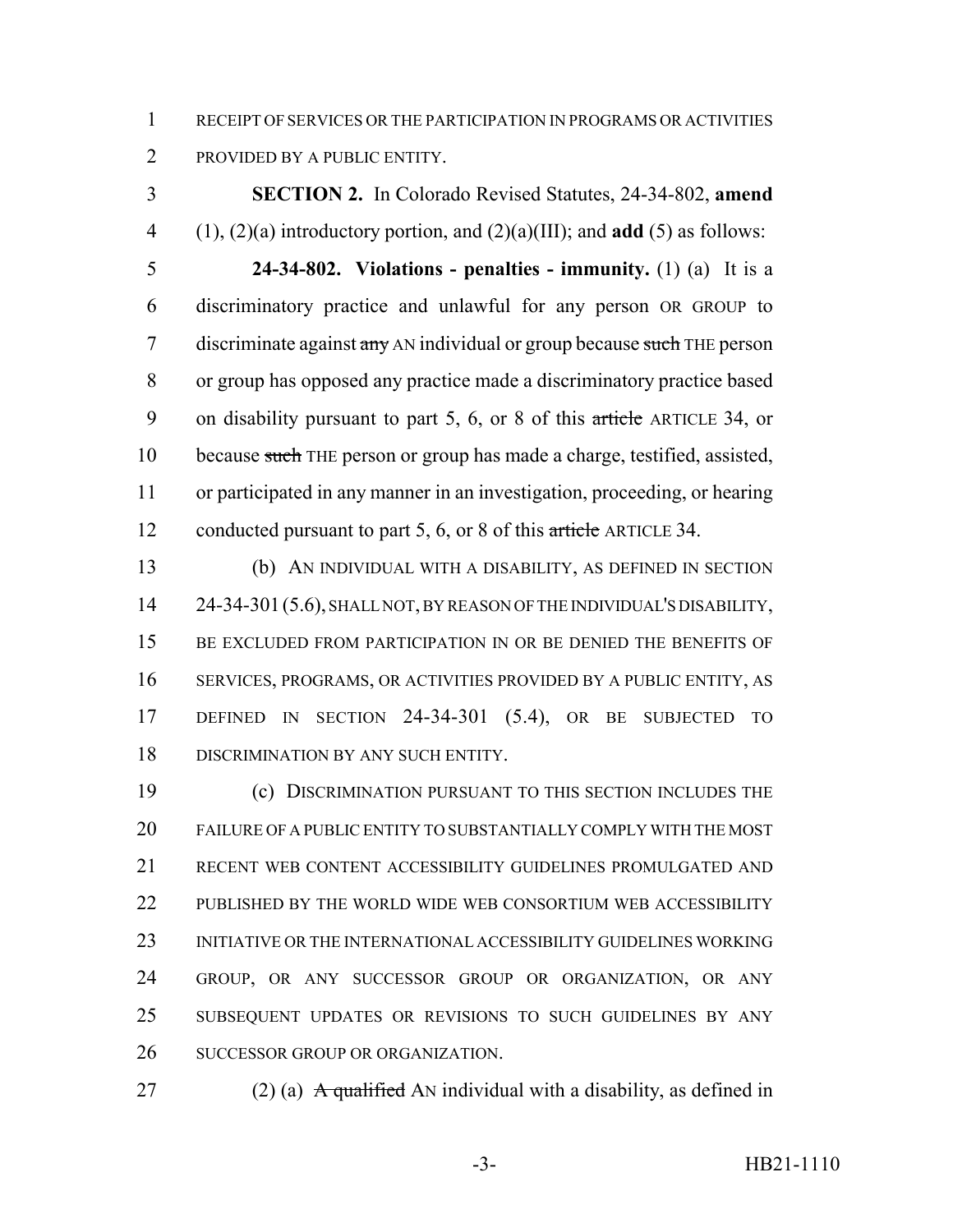RECEIPT OF SERVICES OR THE PARTICIPATION IN PROGRAMS OR ACTIVITIES PROVIDED BY A PUBLIC ENTITY.

 **SECTION 2.** In Colorado Revised Statutes, 24-34-802, **amend** (1), (2)(a) introductory portion, and (2)(a)(III); and **add** (5) as follows:

 **24-34-802. Violations - penalties - immunity.** (1) (a) It is a discriminatory practice and unlawful for any person OR GROUP to 7 discriminate against any AN individual or group because such THE person or group has opposed any practice made a discriminatory practice based 9 on disability pursuant to part 5, 6, or 8 of this article ARTICLE 34, or 10 because such THE person or group has made a charge, testified, assisted, or participated in any manner in an investigation, proceeding, or hearing 12 conducted pursuant to part 5, 6, or 8 of this article ARTICLE 34.

 (b) AN INDIVIDUAL WITH A DISABILITY, AS DEFINED IN SECTION 24-34-301(5.6), SHALL NOT, BY REASON OF THE INDIVIDUAL'S DISABILITY, 15 BE EXCLUDED FROM PARTICIPATION IN OR BE DENIED THE BENEFITS OF SERVICES, PROGRAMS, OR ACTIVITIES PROVIDED BY A PUBLIC ENTITY, AS DEFINED IN SECTION 24-34-301 (5.4), OR BE SUBJECTED TO 18 DISCRIMINATION BY ANY SUCH ENTITY.

 (c) DISCRIMINATION PURSUANT TO THIS SECTION INCLUDES THE FAILURE OF A PUBLIC ENTITY TO SUBSTANTIALLY COMPLY WITH THE MOST RECENT WEB CONTENT ACCESSIBILITY GUIDELINES PROMULGATED AND 22 PUBLISHED BY THE WORLD WIDE WEB CONSORTIUM WEB ACCESSIBILITY INITIATIVE OR THE INTERNATIONAL ACCESSIBILITY GUIDELINES WORKING GROUP, OR ANY SUCCESSOR GROUP OR ORGANIZATION, OR ANY SUBSEQUENT UPDATES OR REVISIONS TO SUCH GUIDELINES BY ANY SUCCESSOR GROUP OR ORGANIZATION.

27 (2) (a)  $\overrightarrow{A}$  qualified AN individual with a disability, as defined in